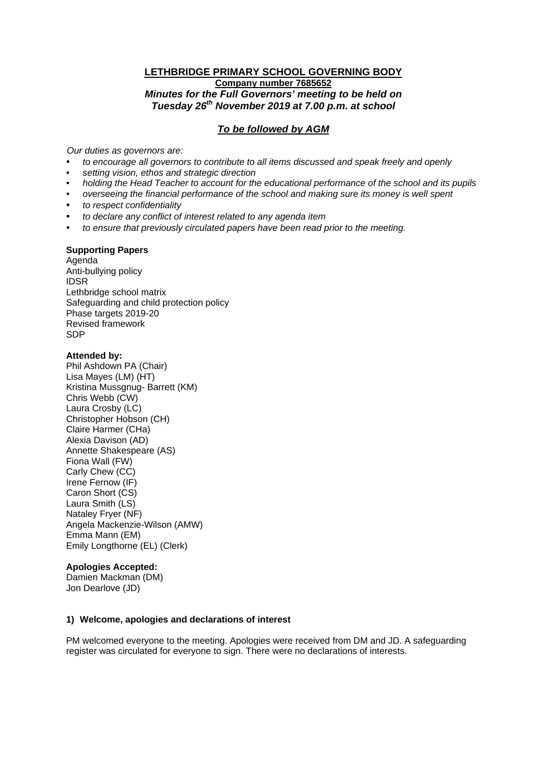## **LETHBRIDGE PRIMARY SCHOOL GOVERNING BODY Company number 7685652** *Minutes for the Full Governors' meeting to be held on Tuesday 26th November 2019 at 7.00 p.m. at school*

# *To be followed by AGM*

*Our duties as governors are:* 

- *to encourage all governors to contribute to all items discussed and speak freely and openly*
- *setting vision, ethos and strategic direction*
- *holding the Head Teacher to account for the educational performance of the school and its pupils*
- *overseeing the financial performance of the school and making sure its money is well spent*
- *to respect confidentiality*
- *to declare any conflict of interest related to any agenda item*
- *to ensure that previously circulated papers have been read prior to the meeting.*

#### **Supporting Papers**

Agenda Anti-bullying policy IDSR Lethbridge school matrix Safeguarding and child protection policy Phase targets 2019-20 Revised framework SDP

#### **Attended by:**

Phil Ashdown PA (Chair) Lisa Mayes (LM) (HT) Kristina Mussgnug- Barrett (KM) Chris Webb (CW) Laura Crosby (LC) Christopher Hobson (CH) Claire Harmer (CHa) Alexia Davison (AD) Annette Shakespeare (AS) Fiona Wall (FW) Carly Chew (CC) Irene Fernow (IF) Caron Short (CS) Laura Smith (LS) Nataley Fryer (NF) Angela Mackenzie-Wilson (AMW) Emma Mann (EM) Emily Longthorne (EL) (Clerk)

#### **Apologies Accepted:**

Damien Mackman (DM) Jon Dearlove (JD)

#### **1) Welcome, apologies and declarations of interest**

PM welcomed everyone to the meeting. Apologies were received from DM and JD. A safeguarding register was circulated for everyone to sign. There were no declarations of interests.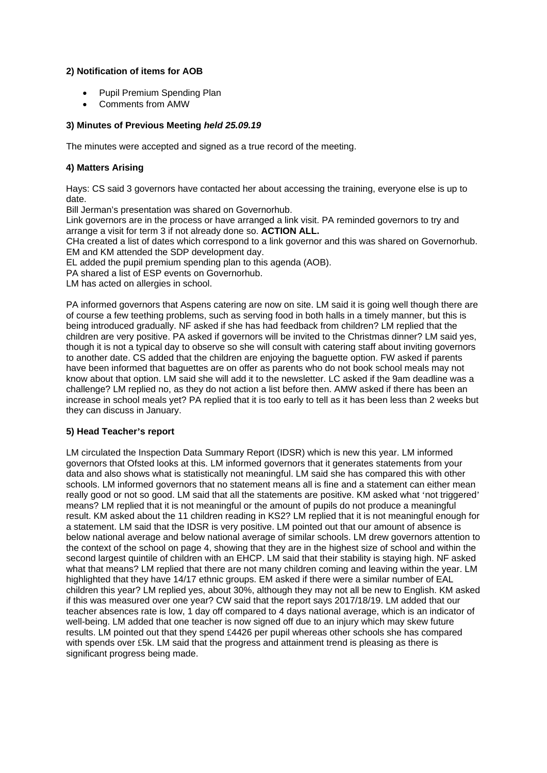### **2) Notification of items for AOB**

- Pupil Premium Spending Plan
- Comments from AMW

#### **3) Minutes of Previous Meeting** *held 25.09.19*

The minutes were accepted and signed as a true record of the meeting.

### **4) Matters Arising**

Hays: CS said 3 governors have contacted her about accessing the training, everyone else is up to date.

Bill Jerman's presentation was shared on Governorhub.

Link governors are in the process or have arranged a link visit. PA reminded governors to try and arrange a visit for term 3 if not already done so. **ACTION ALL.**

CHa created a list of dates which correspond to a link governor and this was shared on Governorhub. EM and KM attended the SDP development day.

EL added the pupil premium spending plan to this agenda (AOB).

PA shared a list of ESP events on Governorhub.

LM has acted on allergies in school.

PA informed governors that Aspens catering are now on site. LM said it is going well though there are of course a few teething problems, such as serving food in both halls in a timely manner, but this is being introduced gradually. NF asked if she has had feedback from children? LM replied that the children are very positive. PA asked if governors will be invited to the Christmas dinner? LM said yes, though it is not a typical day to observe so she will consult with catering staff about inviting governors to another date. CS added that the children are enjoying the baguette option. FW asked if parents have been informed that baguettes are on offer as parents who do not book school meals may not know about that option. LM said she will add it to the newsletter. LC asked if the 9am deadline was a challenge? LM replied no, as they do not action a list before then. AMW asked if there has been an increase in school meals yet? PA replied that it is too early to tell as it has been less than 2 weeks but they can discuss in January.

#### **5) Head Teacher's report**

LM circulated the Inspection Data Summary Report (IDSR) which is new this year. LM informed governors that Ofsted looks at this. LM informed governors that it generates statements from your data and also shows what is statistically not meaningful. LM said she has compared this with other schools. LM informed governors that no statement means all is fine and a statement can either mean really good or not so good. LM said that all the statements are positive. KM asked what 'not triggered' means? LM replied that it is not meaningful or the amount of pupils do not produce a meaningful result. KM asked about the 11 children reading in KS2? LM replied that it is not meaningful enough for a statement. LM said that the IDSR is very positive. LM pointed out that our amount of absence is below national average and below national average of similar schools. LM drew governors attention to the context of the school on page 4, showing that they are in the highest size of school and within the second largest quintile of children with an EHCP. LM said that their stability is staying high. NF asked what that means? LM replied that there are not many children coming and leaving within the year. LM highlighted that they have 14/17 ethnic groups. EM asked if there were a similar number of EAL children this year? LM replied yes, about 30%, although they may not all be new to English. KM asked if this was measured over one year? CW said that the report says 2017/18/19. LM added that our teacher absences rate is low, 1 day off compared to 4 days national average, which is an indicator of well-being. LM added that one teacher is now signed off due to an injury which may skew future results. LM pointed out that they spend £4426 per pupil whereas other schools she has compared with spends over £5k. LM said that the progress and attainment trend is pleasing as there is significant progress being made.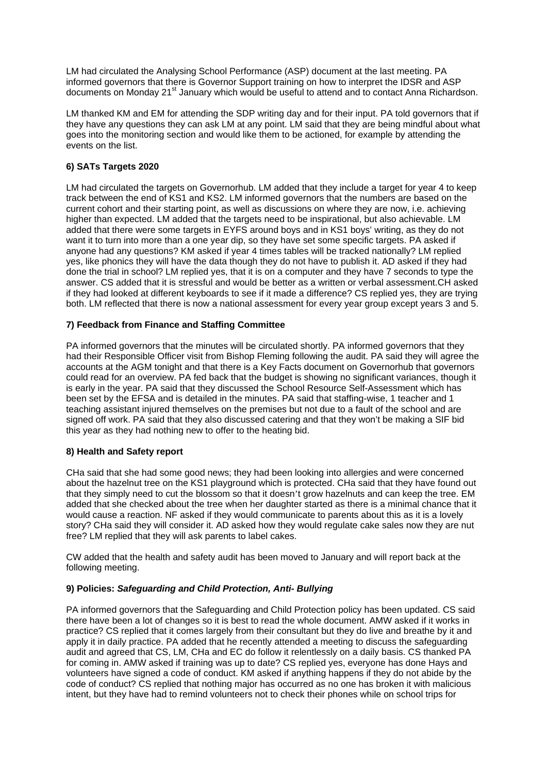LM had circulated the Analysing School Performance (ASP) document at the last meeting. PA informed governors that there is Governor Support training on how to interpret the IDSR and ASP documents on Monday 21st January which would be useful to attend and to contact Anna Richardson.

LM thanked KM and EM for attending the SDP writing day and for their input. PA told governors that if they have any questions they can ask LM at any point. LM said that they are being mindful about what goes into the monitoring section and would like them to be actioned, for example by attending the events on the list.

### **6) SATs Targets 2020**

LM had circulated the targets on Governorhub. LM added that they include a target for year 4 to keep track between the end of KS1 and KS2. LM informed governors that the numbers are based on the current cohort and their starting point, as well as discussions on where they are now, i.e. achieving higher than expected. LM added that the targets need to be inspirational, but also achievable. LM added that there were some targets in EYFS around boys and in KS1 boys' writing, as they do not want it to turn into more than a one year dip, so they have set some specific targets. PA asked if anyone had any questions? KM asked if year 4 times tables will be tracked nationally? LM replied yes, like phonics they will have the data though they do not have to publish it. AD asked if they had done the trial in school? LM replied yes, that it is on a computer and they have 7 seconds to type the answer. CS added that it is stressful and would be better as a written or verbal assessment.CH asked if they had looked at different keyboards to see if it made a difference? CS replied yes, they are trying both. LM reflected that there is now a national assessment for every year group except years 3 and 5.

#### **7) Feedback from Finance and Staffing Committee**

PA informed governors that the minutes will be circulated shortly. PA informed governors that they had their Responsible Officer visit from Bishop Fleming following the audit. PA said they will agree the accounts at the AGM tonight and that there is a Key Facts document on Governorhub that governors could read for an overview. PA fed back that the budget is showing no significant variances, though it is early in the year. PA said that they discussed the School Resource Self-Assessment which has been set by the EFSA and is detailed in the minutes. PA said that staffing-wise, 1 teacher and 1 teaching assistant injured themselves on the premises but not due to a fault of the school and are signed off work. PA said that they also discussed catering and that they won't be making a SIF bid this year as they had nothing new to offer to the heating bid.

#### **8) Health and Safety report**

CHa said that she had some good news; they had been looking into allergies and were concerned about the hazelnut tree on the KS1 playground which is protected. CHa said that they have found out that they simply need to cut the blossom so that it doesn't grow hazelnuts and can keep the tree. EM added that she checked about the tree when her daughter started as there is a minimal chance that it would cause a reaction. NF asked if they would communicate to parents about this as it is a lovely story? CHa said they will consider it. AD asked how they would regulate cake sales now they are nut free? LM replied that they will ask parents to label cakes.

CW added that the health and safety audit has been moved to January and will report back at the following meeting.

#### **9) Policies:** *Safeguarding and Child Protection, Anti- Bullying*

PA informed governors that the Safeguarding and Child Protection policy has been updated. CS said there have been a lot of changes so it is best to read the whole document. AMW asked if it works in practice? CS replied that it comes largely from their consultant but they do live and breathe by it and apply it in daily practice. PA added that he recently attended a meeting to discuss the safeguarding audit and agreed that CS, LM, CHa and EC do follow it relentlessly on a daily basis. CS thanked PA for coming in. AMW asked if training was up to date? CS replied yes, everyone has done Hays and volunteers have signed a code of conduct. KM asked if anything happens if they do not abide by the code of conduct? CS replied that nothing major has occurred as no one has broken it with malicious intent, but they have had to remind volunteers not to check their phones while on school trips for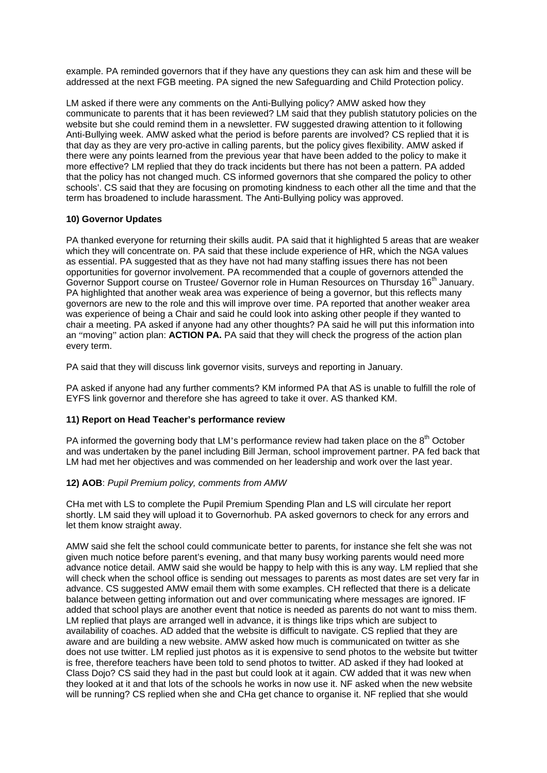example. PA reminded governors that if they have any questions they can ask him and these will be addressed at the next FGB meeting. PA signed the new Safeguarding and Child Protection policy.

LM asked if there were any comments on the Anti-Bullying policy? AMW asked how they communicate to parents that it has been reviewed? LM said that they publish statutory policies on the website but she could remind them in a newsletter. FW suggested drawing attention to it following Anti-Bullying week. AMW asked what the period is before parents are involved? CS replied that it is that day as they are very pro-active in calling parents, but the policy gives flexibility. AMW asked if there were any points learned from the previous year that have been added to the policy to make it more effective? LM replied that they do track incidents but there has not been a pattern. PA added that the policy has not changed much. CS informed governors that she compared the policy to other schools'. CS said that they are focusing on promoting kindness to each other all the time and that the term has broadened to include harassment. The Anti-Bullying policy was approved.

### **10) Governor Updates**

PA thanked everyone for returning their skills audit. PA said that it highlighted 5 areas that are weaker which they will concentrate on. PA said that these include experience of HR, which the NGA values as essential. PA suggested that as they have not had many staffing issues there has not been opportunities for governor involvement. PA recommended that a couple of governors attended the Governor Support course on Trustee/ Governor role in Human Resources on Thursday 16<sup>th</sup> January. PA highlighted that another weak area was experience of being a governor, but this reflects many governors are new to the role and this will improve over time. PA reported that another weaker area was experience of being a Chair and said he could look into asking other people if they wanted to chair a meeting. PA asked if anyone had any other thoughts? PA said he will put this information into an "moving" action plan: **ACTION PA.** PA said that they will check the progress of the action plan every term.

PA said that they will discuss link governor visits, surveys and reporting in January.

PA asked if anyone had any further comments? KM informed PA that AS is unable to fulfill the role of EYFS link governor and therefore she has agreed to take it over. AS thanked KM.

### **11) Report on Head Teacher's performance review**

PA informed the governing body that LM's performance review had taken place on the  $8<sup>th</sup>$  October and was undertaken by the panel including Bill Jerman, school improvement partner. PA fed back that LM had met her objectives and was commended on her leadership and work over the last year.

### **12) AOB**: *Pupil Premium policy, comments from AMW*

CHa met with LS to complete the Pupil Premium Spending Plan and LS will circulate her report shortly. LM said they will upload it to Governorhub. PA asked governors to check for any errors and let them know straight away.

AMW said she felt the school could communicate better to parents, for instance she felt she was not given much notice before parent's evening, and that many busy working parents would need more advance notice detail. AMW said she would be happy to help with this is any way. LM replied that she will check when the school office is sending out messages to parents as most dates are set very far in advance. CS suggested AMW email them with some examples. CH reflected that there is a delicate balance between getting information out and over communicating where messages are ignored. IF added that school plays are another event that notice is needed as parents do not want to miss them. LM replied that plays are arranged well in advance, it is things like trips which are subject to availability of coaches. AD added that the website is difficult to navigate. CS replied that they are aware and are building a new website. AMW asked how much is communicated on twitter as she does not use twitter. LM replied just photos as it is expensive to send photos to the website but twitter is free, therefore teachers have been told to send photos to twitter. AD asked if they had looked at Class Dojo? CS said they had in the past but could look at it again. CW added that it was new when they looked at it and that lots of the schools he works in now use it. NF asked when the new website will be running? CS replied when she and CHa get chance to organise it. NF replied that she would